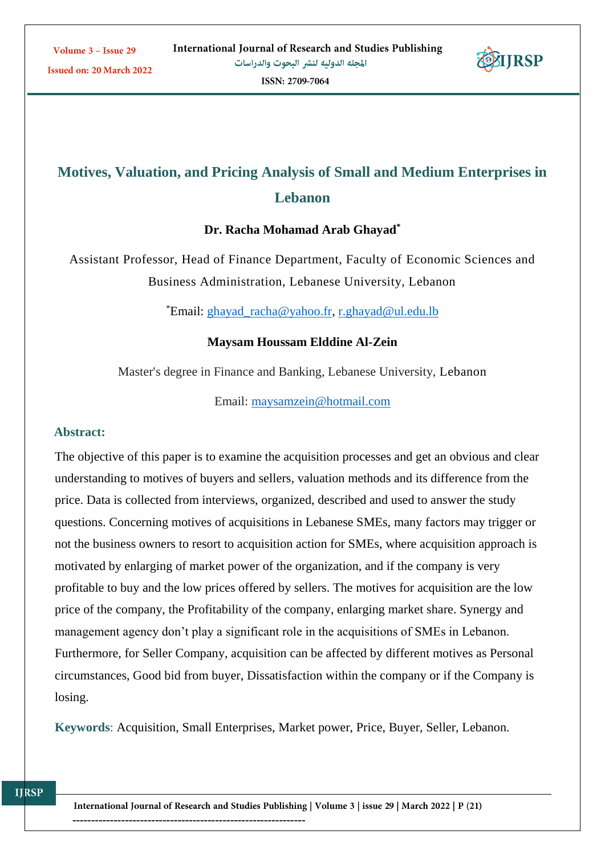

# **Motives, Valuation, and Pricing Analysis of Small and Medium Enterprises in Lebanon**

#### **Dr. Racha Mohamad Arab Ghayad\***

Assistant Professor, Head of Finance Department, Faculty of Economic Sciences and Business Administration, Lebanese University, Lebanon

\*Email: [ghayad\\_racha@yahoo.fr,](mailto:ghayad_racha@yahoo.fr) [r.ghayad@ul.edu.lb](mailto:r.ghayad@ul.edu.lb)

## **Maysam Houssam Elddine Al-Zein**

Master's degree in Finance and Banking, Lebanese University, Lebanon

Email: [maysamzein@hotmail.com](mailto:maysamzein@hotmail.com)

#### **Abstract:**

The objective of this paper is to examine the acquisition processes and get an obvious and clear understanding to motives of buyers and sellers, valuation methods and its difference from the price. Data is collected from interviews, organized, described and used to answer the study questions. Concerning motives of acquisitions in Lebanese SMEs, many factors may trigger or not the business owners to resort to acquisition action for SMEs, where acquisition approach is motivated by enlarging of market power of the organization, and if the company is very profitable to buy and the low prices offered by sellers. The motives for acquisition are the low price of the company, the Profitability of the company, enlarging market share. Synergy and management agency don't play a significant role in the acquisitions of SMEs in Lebanon. Furthermore, for Seller Company, acquisition can be affected by different motives as Personal circumstances, Good bid from buyer, Dissatisfaction within the company or if the Company is losing.

**Keywords**: Acquisition, Small Enterprises, Market power, Price, Buyer, Seller, Lebanon.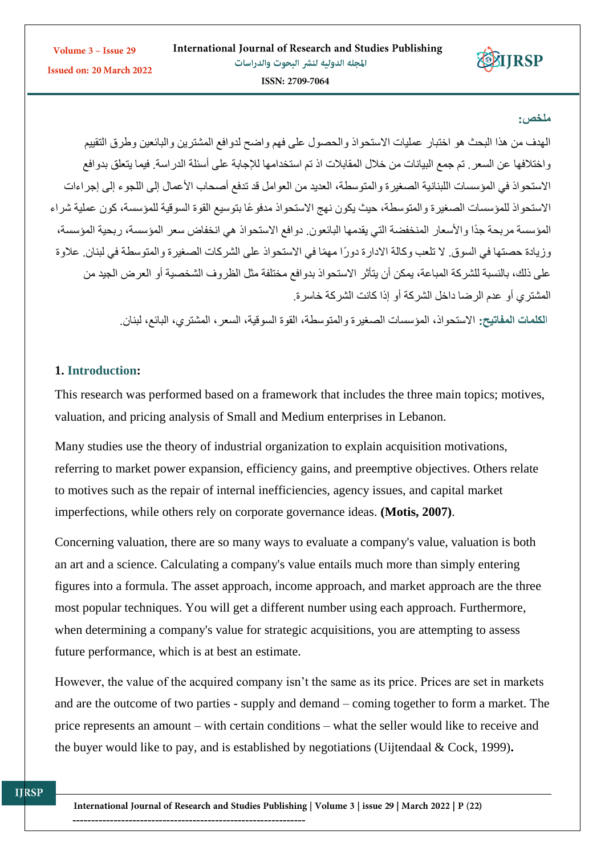

#### **ملخص:**

الهدف من هذا البحث هو اختبار عمليات االستحواذ والحصول على فهم واضح لدوافع المشترين والبائعين وطرق التقييم واختالفها عن السعر. تم جمع البيانات من خالل المقابالت اذ تم استخدامها لإلجابة على أسئلة الدراسة. فيما يتعلق بدوافع االستحواذ في المؤسسات اللبنانية الصغيرة والمتوسطة، العديد من العوامل قد تدفع أصحاب األعمال إلى اللجوء إلى إجراءات االستحواذ للمؤسسات الصغيرة والمتوسطة، حيث يكون نهج االستحواذ مدفو ًعا بتوسيع القوة السوقية للمؤسسة، كون عملية شراء المؤسسة مربحة جًدا واألسعار المنخفضة التي يقدمها البائعون. دوافع االستحواذ هي انخفاض سعر المؤسسة، ربحية المؤسسة، وزيادة حصتها في السوق. لا تلعب وكالة الادارة دورًا مهمًا في الاستحواذ على الشركات الصغيرة والمتوسطة في لبنان. علاوة على ذلك، بالنسبة للشركة المباعة، يمكن أن يتأثر االستحواذ بدوافع مختلفة مثل الظروف الشخصية أو العرض الجيد من المشتري أو عدم الرضا داخل الشركة أو إذا كانت الشركة خاسرة.

ا**لكلمات المفاتيح:** االستحواذ، المؤسسات الصغيرة والمتوسطة، القوة السوقية، السعر، المشتري، البائع، لبنان.

#### **1. Introduction:**

This research was performed based on a framework that includes the three main topics; motives, valuation, and pricing analysis of Small and Medium enterprises in Lebanon.

Many studies use the theory of industrial organization to explain acquisition motivations, referring to market power expansion, efficiency gains, and preemptive objectives. Others relate to motives such as the repair of internal inefficiencies, agency issues, and capital market imperfections, while others rely on corporate governance ideas. **(Motis, 2007)**.

Concerning valuation, there are so many ways to evaluate a company's value, valuation is both an art and a science. Calculating a company's value entails much more than simply entering figures into a formula. The asset approach, income approach, and market approach are the three most popular techniques. You will get a different number using each approach. Furthermore, when determining a company's value for strategic acquisitions, you are attempting to assess future performance, which is at best an estimate.

However, the value of the acquired company isn't the same as its price. Prices are set in markets and are the outcome of two parties - supply and demand – coming together to form a market. The price represents an amount – with certain conditions – what the seller would like to receive and the buyer would like to pay, and is established by negotiations (Uijtendaal & Cock, 1999)**.**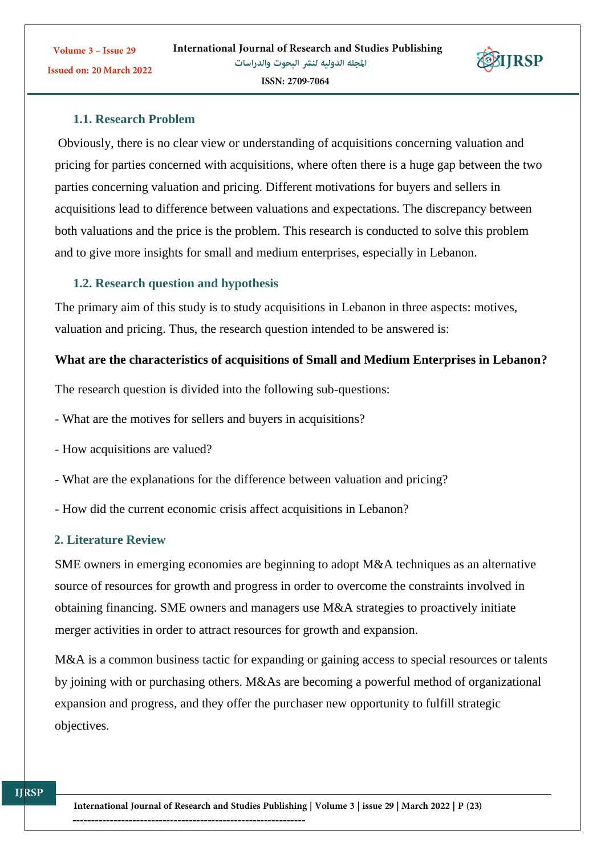

Obviously, there is no clear view or understanding of acquisitions concerning valuation and pricing for parties concerned with acquisitions, where often there is a huge gap between the two parties concerning valuation and pricing. Different motivations for buyers and sellers in acquisitions lead to difference between valuations and expectations. The discrepancy between both valuations and the price is the problem. This research is conducted to solve this problem and to give more insights for small and medium enterprises, especially in Lebanon.

#### **1.2. Research question and hypothesis**

The primary aim of this study is to study acquisitions in Lebanon in three aspects: motives, valuation and pricing. Thus, the research question intended to be answered is:

#### **What are the characteristics of acquisitions of Small and Medium Enterprises in Lebanon?**

The research question is divided into the following sub-questions:

- What are the motives for sellers and buyers in acquisitions?
- How acquisitions are valued?
- What are the explanations for the difference between valuation and pricing?
- How did the current economic crisis affect acquisitions in Lebanon?

#### **2. Literature Review**

SME owners in emerging economies are beginning to adopt M&A techniques as an alternative source of resources for growth and progress in order to overcome the constraints involved in obtaining financing. SME owners and managers use M&A strategies to proactively initiate merger activities in order to attract resources for growth and expansion.

M&A is a common business tactic for expanding or gaining access to special resources or talents by joining with or purchasing others. M&As are becoming a powerful method of organizational expansion and progress, and they offer the purchaser new opportunity to fulfill strategic objectives.

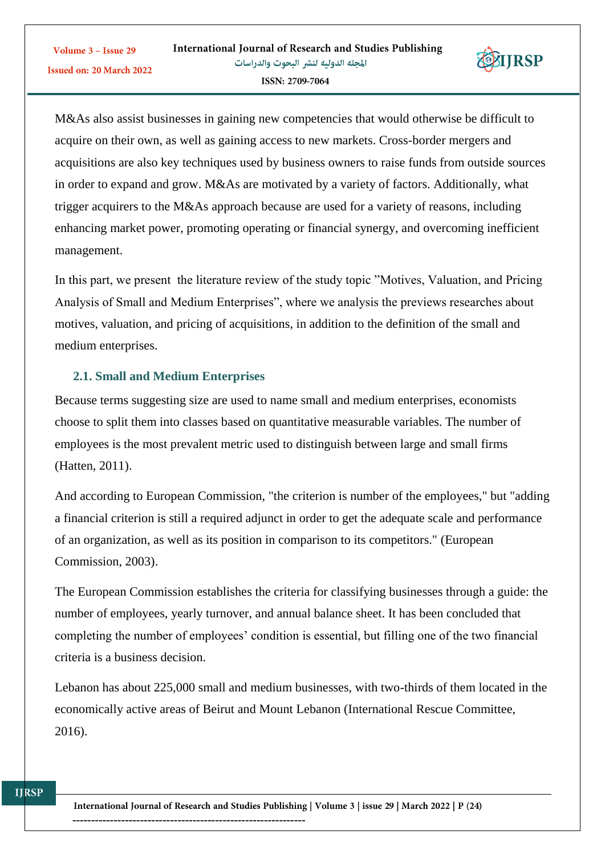

M&As also assist businesses in gaining new competencies that would otherwise be difficult to acquire on their own, as well as gaining access to new markets. Cross-border mergers and acquisitions are also key techniques used by business owners to raise funds from outside sources in order to expand and grow. M&As are motivated by a variety of factors. Additionally, what trigger acquirers to the M&As approach because are used for a variety of reasons, including enhancing market power, promoting operating or financial synergy, and overcoming inefficient management.

In this part, we present the literature review of the study topic "Motives, Valuation, and Pricing Analysis of Small and Medium Enterprises", where we analysis the previews researches about motives, valuation, and pricing of acquisitions, in addition to the definition of the small and medium enterprises.

# **2.1. Small and Medium Enterprises**

Because terms suggesting size are used to name small and medium enterprises, economists choose to split them into classes based on quantitative measurable variables. The number of employees is the most prevalent metric used to distinguish between large and small firms (Hatten, 2011).

And according to European Commission, "the criterion is number of the employees," but "adding a financial criterion is still a required adjunct in order to get the adequate scale and performance of an organization, as well as its position in comparison to its competitors." (European Commission, 2003).

The European Commission establishes the criteria for classifying businesses through a guide: the number of employees, yearly turnover, and annual balance sheet. It has been concluded that completing the number of employees' condition is essential, but filling one of the two financial criteria is a business decision.

Lebanon has about 225,000 small and medium businesses, with two-thirds of them located in the economically active areas of Beirut and Mount Lebanon (International Rescue Committee, 2016).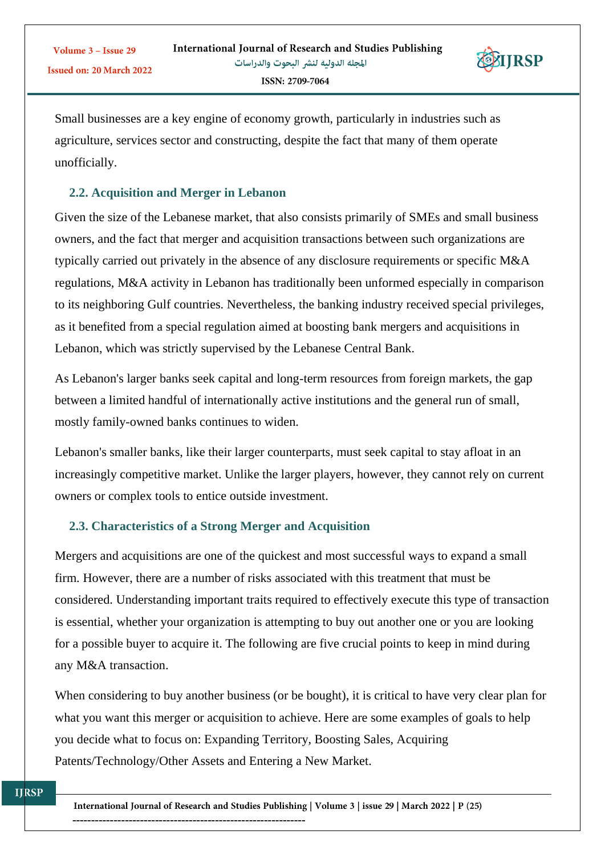

Small businesses are a key engine of economy growth, particularly in industries such as agriculture, services sector and constructing, despite the fact that many of them operate unofficially.

# **2.2. Acquisition and Merger in Lebanon**

Given the size of the Lebanese market, that also consists primarily of SMEs and small business owners, and the fact that merger and acquisition transactions between such organizations are typically carried out privately in the absence of any disclosure requirements or specific M&A regulations, M&A activity in Lebanon has traditionally been unformed especially in comparison to its neighboring Gulf countries. Nevertheless, the banking industry received special privileges, as it benefited from a special regulation aimed at boosting bank mergers and acquisitions in Lebanon, which was strictly supervised by the Lebanese Central Bank.

As Lebanon's larger banks seek capital and long-term resources from foreign markets, the gap between a limited handful of internationally active institutions and the general run of small, mostly family-owned banks continues to widen.

Lebanon's smaller banks, like their larger counterparts, must seek capital to stay afloat in an increasingly competitive market. Unlike the larger players, however, they cannot rely on current owners or complex tools to entice outside investment.

# **2.3. Characteristics of a Strong Merger and Acquisition**

Mergers and acquisitions are one of the quickest and most successful ways to expand a small firm. However, there are a number of risks associated with this treatment that must be considered. Understanding important traits required to effectively execute this type of transaction is essential, whether your organization is attempting to buy out another one or you are looking for a possible buyer to acquire it. The following are five crucial points to keep in mind during any M&A transaction.

When considering to buy another business (or be bought), it is critical to have very clear plan for what you want this merger or acquisition to achieve. Here are some examples of goals to help you decide what to focus on: Expanding Territory, Boosting Sales, Acquiring Patents/Technology/Other Assets and Entering a New Market.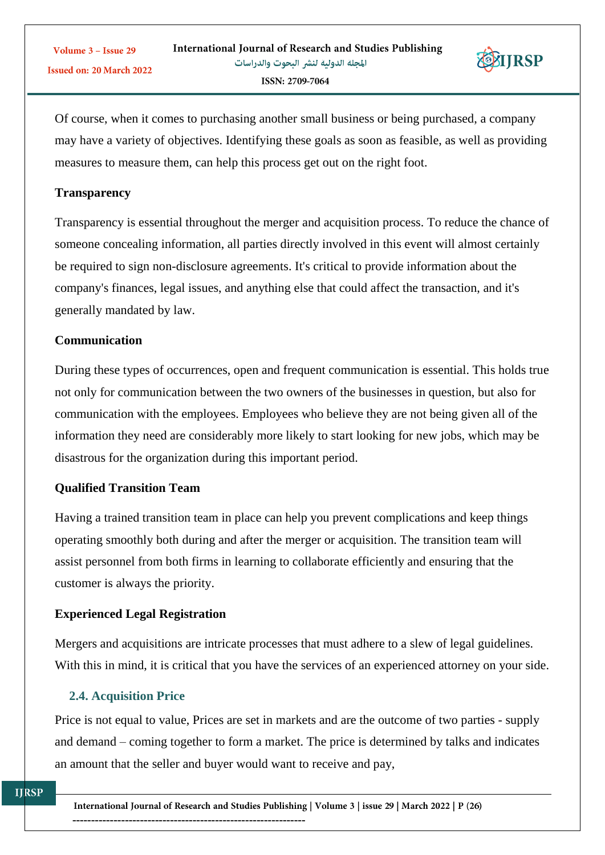

Of course, when it comes to purchasing another small business or being purchased, a company may have a variety of objectives. Identifying these goals as soon as feasible, as well as providing measures to measure them, can help this process get out on the right foot.

#### **Transparency**

Volume 3 - Issue 29

Transparency is essential throughout the merger and acquisition process. To reduce the chance of someone concealing information, all parties directly involved in this event will almost certainly be required to sign non-disclosure agreements. It's critical to provide information about the company's finances, legal issues, and anything else that could affect the transaction, and it's generally mandated by law.

## **Communication**

During these types of occurrences, open and frequent communication is essential. This holds true not only for communication between the two owners of the businesses in question, but also for communication with the employees. Employees who believe they are not being given all of the information they need are considerably more likely to start looking for new jobs, which may be disastrous for the organization during this important period.

## **Qualified Transition Team**

Having a trained transition team in place can help you prevent complications and keep things operating smoothly both during and after the merger or acquisition. The transition team will assist personnel from both firms in learning to collaborate efficiently and ensuring that the customer is always the priority.

# **Experienced Legal Registration**

Mergers and acquisitions are intricate processes that must adhere to a slew of legal guidelines. With this in mind, it is critical that you have the services of an experienced attorney on your side.

## **2.4. Acquisition Price**

Price is not equal to value, Prices are set in markets and are the outcome of two parties - supply and demand – coming together to form a market. The price is determined by talks and indicates an amount that the seller and buyer would want to receive and pay,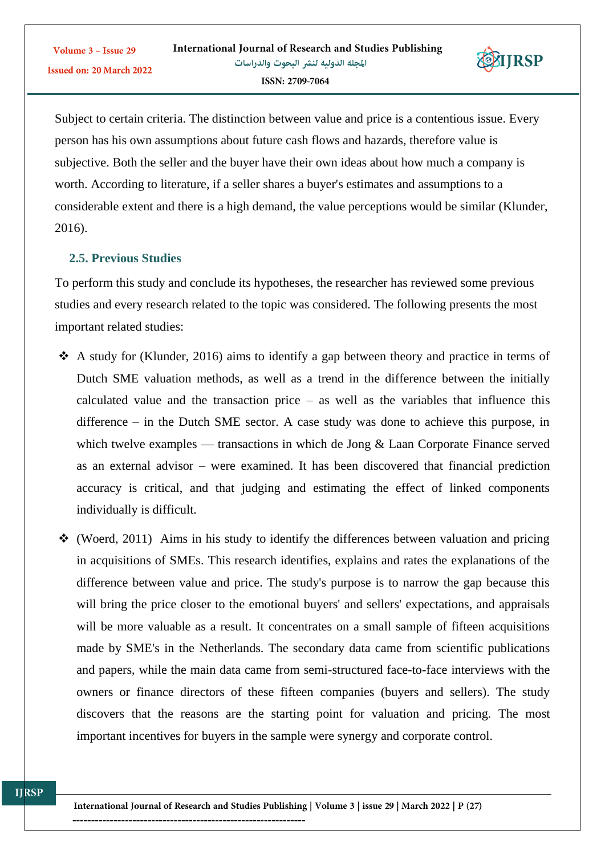

Subject to certain criteria. The distinction between value and price is a contentious issue. Every person has his own assumptions about future cash flows and hazards, therefore value is subjective. Both the seller and the buyer have their own ideas about how much a company is worth. According to literature, if a seller shares a buyer's estimates and assumptions to a considerable extent and there is a high demand, the value perceptions would be similar (Klunder, 2016).

## **2.5. Previous Studies**

To perform this study and conclude its hypotheses, the researcher has reviewed some previous studies and every research related to the topic was considered. The following presents the most important related studies:

- $\triangle$  A study for (Klunder, 2016) aims to identify a gap between theory and practice in terms of Dutch SME valuation methods, as well as a trend in the difference between the initially calculated value and the transaction price  $-$  as well as the variables that influence this difference – in the Dutch SME sector. A case study was done to achieve this purpose, in which twelve examples — transactions in which de Jong & Laan Corporate Finance served as an external advisor – were examined. It has been discovered that financial prediction accuracy is critical, and that judging and estimating the effect of linked components individually is difficult.
- $\div$  (Woerd, 2011) Aims in his study to identify the differences between valuation and pricing in acquisitions of SMEs. This research identifies, explains and rates the explanations of the difference between value and price. The study's purpose is to narrow the gap because this will bring the price closer to the emotional buyers' and sellers' expectations, and appraisals will be more valuable as a result. It concentrates on a small sample of fifteen acquisitions made by SME's in the Netherlands. The secondary data came from scientific publications and papers, while the main data came from semi-structured face-to-face interviews with the owners or finance directors of these fifteen companies (buyers and sellers). The study discovers that the reasons are the starting point for valuation and pricing. The most important incentives for buyers in the sample were synergy and corporate control.

--------------------------------------------------------------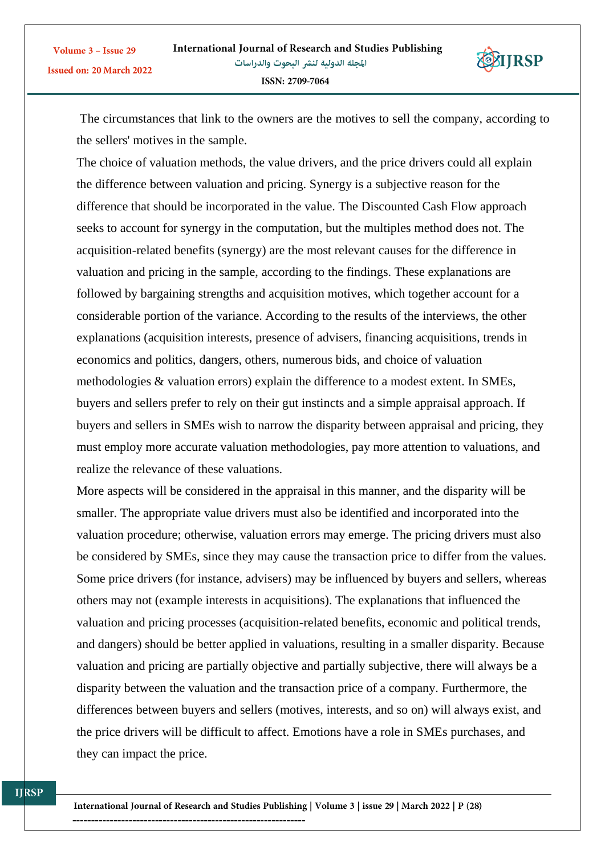

**TIRSP** 

The choice of valuation methods, the value drivers, and the price drivers could all explain the difference between valuation and pricing. Synergy is a subjective reason for the difference that should be incorporated in the value. The Discounted Cash Flow approach seeks to account for synergy in the computation, but the multiples method does not. The acquisition-related benefits (synergy) are the most relevant causes for the difference in valuation and pricing in the sample, according to the findings. These explanations are followed by bargaining strengths and acquisition motives, which together account for a considerable portion of the variance. According to the results of the interviews, the other explanations (acquisition interests, presence of advisers, financing acquisitions, trends in economics and politics, dangers, others, numerous bids, and choice of valuation methodologies & valuation errors) explain the difference to a modest extent. In SMEs, buyers and sellers prefer to rely on their gut instincts and a simple appraisal approach. If buyers and sellers in SMEs wish to narrow the disparity between appraisal and pricing, they must employ more accurate valuation methodologies, pay more attention to valuations, and realize the relevance of these valuations.

More aspects will be considered in the appraisal in this manner, and the disparity will be smaller. The appropriate value drivers must also be identified and incorporated into the valuation procedure; otherwise, valuation errors may emerge. The pricing drivers must also be considered by SMEs, since they may cause the transaction price to differ from the values. Some price drivers (for instance, advisers) may be influenced by buyers and sellers, whereas others may not (example interests in acquisitions). The explanations that influenced the valuation and pricing processes (acquisition-related benefits, economic and political trends, and dangers) should be better applied in valuations, resulting in a smaller disparity. Because valuation and pricing are partially objective and partially subjective, there will always be a disparity between the valuation and the transaction price of a company. Furthermore, the differences between buyers and sellers (motives, interests, and so on) will always exist, and the price drivers will be difficult to affect. Emotions have a role in SMEs purchases, and they can impact the price.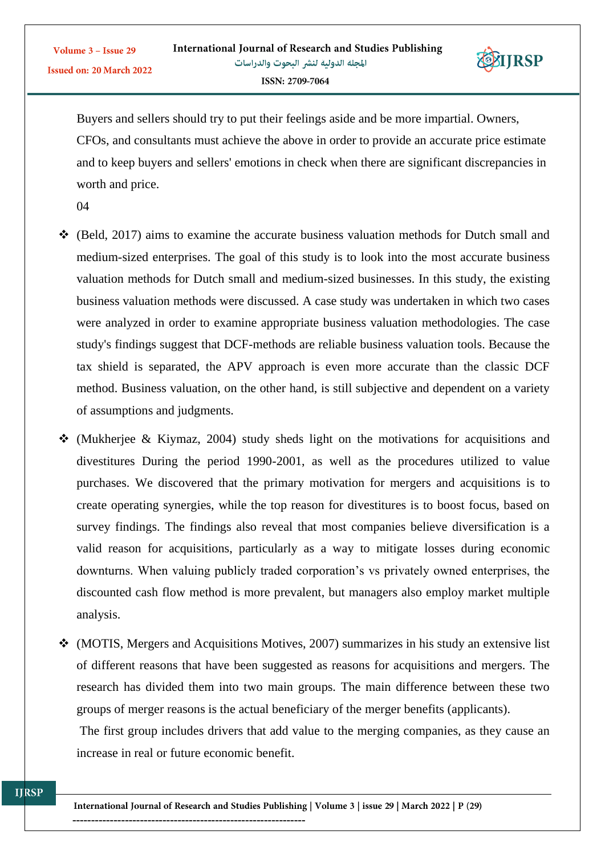

Buyers and sellers should try to put their feelings aside and be more impartial. Owners, CFOs, and consultants must achieve the above in order to provide an accurate price estimate and to keep buyers and sellers' emotions in check when there are significant discrepancies in worth and price.

04

- (Beld, 2017) aims to examine the accurate business valuation methods for Dutch small and medium-sized enterprises. The goal of this study is to look into the most accurate business valuation methods for Dutch small and medium-sized businesses. In this study, the existing business valuation methods were discussed. A case study was undertaken in which two cases were analyzed in order to examine appropriate business valuation methodologies. The case study's findings suggest that DCF-methods are reliable business valuation tools. Because the tax shield is separated, the APV approach is even more accurate than the classic DCF method. Business valuation, on the other hand, is still subjective and dependent on a variety of assumptions and judgments.
- $\div$  (Mukheriee & Kiymaz, 2004) study sheds light on the motivations for acquisitions and divestitures During the period 1990-2001, as well as the procedures utilized to value purchases. We discovered that the primary motivation for mergers and acquisitions is to create operating synergies, while the top reason for divestitures is to boost focus, based on survey findings. The findings also reveal that most companies believe diversification is a valid reason for acquisitions, particularly as a way to mitigate losses during economic downturns. When valuing publicly traded corporation's vs privately owned enterprises, the discounted cash flow method is more prevalent, but managers also employ market multiple analysis.
- (MOTIS, Mergers and Acquisitions Motives, 2007) summarizes in his study an extensive list of different reasons that have been suggested as reasons for acquisitions and mergers. The research has divided them into two main groups. The main difference between these two groups of merger reasons is the actual beneficiary of the merger benefits (applicants).

The first group includes drivers that add value to the merging companies, as they cause an increase in real or future economic benefit.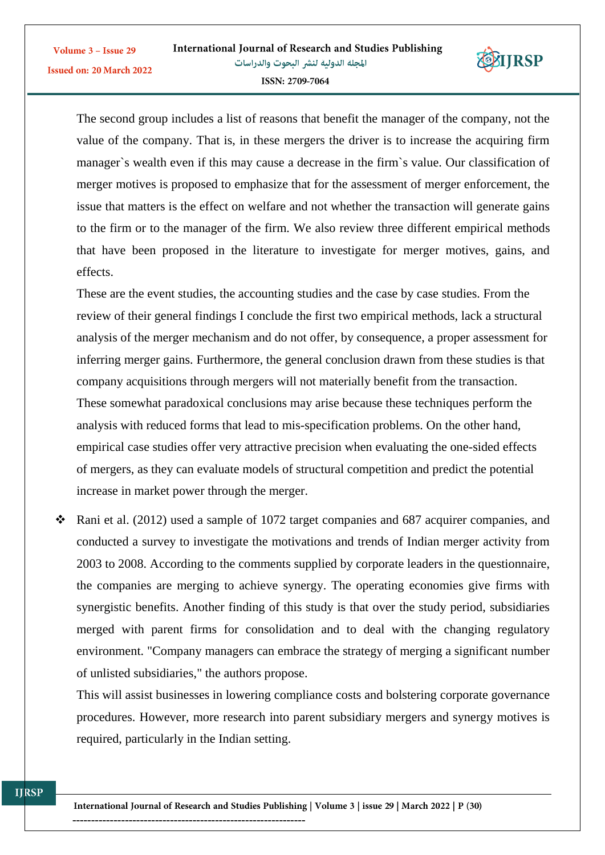

The second group includes a list of reasons that benefit the manager of the company, not the value of the company. That is, in these mergers the driver is to increase the acquiring firm manager`s wealth even if this may cause a decrease in the firm`s value. Our classification of merger motives is proposed to emphasize that for the assessment of merger enforcement, the issue that matters is the effect on welfare and not whether the transaction will generate gains to the firm or to the manager of the firm. We also review three different empirical methods that have been proposed in the literature to investigate for merger motives, gains, and effects.

These are the event studies, the accounting studies and the case by case studies. From the review of their general findings I conclude the first two empirical methods, lack a structural analysis of the merger mechanism and do not offer, by consequence, a proper assessment for inferring merger gains. Furthermore, the general conclusion drawn from these studies is that company acquisitions through mergers will not materially benefit from the transaction. These somewhat paradoxical conclusions may arise because these techniques perform the analysis with reduced forms that lead to mis-specification problems. On the other hand, empirical case studies offer very attractive precision when evaluating the one-sided effects of mergers, as they can evaluate models of structural competition and predict the potential increase in market power through the merger.

 $\cdot$  Rani et al. (2012) used a sample of 1072 target companies and 687 acquirer companies, and conducted a survey to investigate the motivations and trends of Indian merger activity from 2003 to 2008. According to the comments supplied by corporate leaders in the questionnaire, the companies are merging to achieve synergy. The operating economies give firms with synergistic benefits. Another finding of this study is that over the study period, subsidiaries merged with parent firms for consolidation and to deal with the changing regulatory environment. "Company managers can embrace the strategy of merging a significant number of unlisted subsidiaries," the authors propose.

This will assist businesses in lowering compliance costs and bolstering corporate governance procedures. However, more research into parent subsidiary mergers and synergy motives is required, particularly in the Indian setting.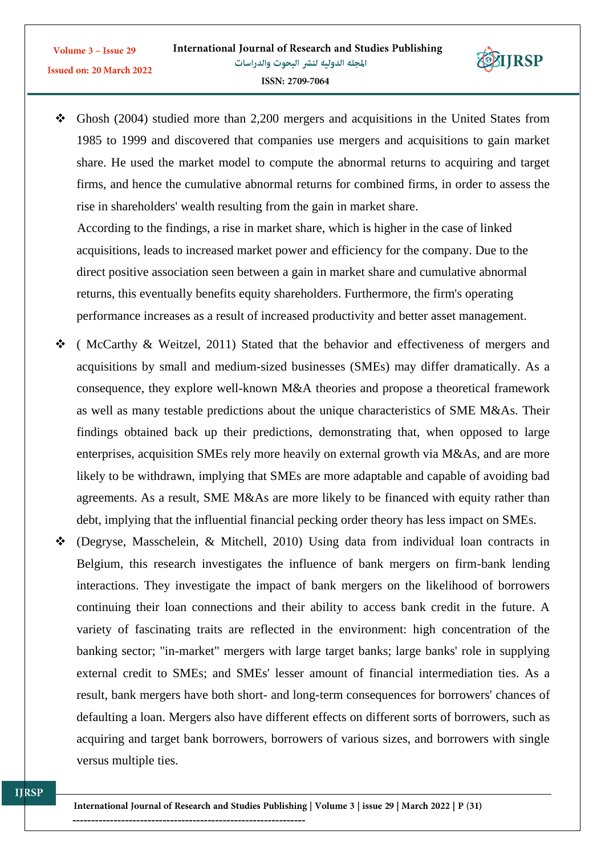

**EIJRSP** 

 According to the findings, a rise in market share, which is higher in the case of linked acquisitions, leads to increased market power and efficiency for the company. Due to the direct positive association seen between a gain in market share and cumulative abnormal returns, this eventually benefits equity shareholders. Furthermore, the firm's operating performance increases as a result of increased productivity and better asset management.

- $\div$  (McCarthy & Weitzel, 2011) Stated that the behavior and effectiveness of mergers and acquisitions by small and medium-sized businesses (SMEs) may differ dramatically. As a consequence, they explore well-known M&A theories and propose a theoretical framework as well as many testable predictions about the unique characteristics of SME M&As. Their findings obtained back up their predictions, demonstrating that, when opposed to large enterprises, acquisition SMEs rely more heavily on external growth via M&As, and are more likely to be withdrawn, implying that SMEs are more adaptable and capable of avoiding bad agreements. As a result, SME M&As are more likely to be financed with equity rather than debt, implying that the influential financial pecking order theory has less impact on SMEs.
- (Degryse, Masschelein, & Mitchell, 2010) Using data from individual loan contracts in Belgium, this research investigates the influence of bank mergers on firm-bank lending interactions. They investigate the impact of bank mergers on the likelihood of borrowers continuing their loan connections and their ability to access bank credit in the future. A variety of fascinating traits are reflected in the environment: high concentration of the banking sector; "in-market" mergers with large target banks; large banks' role in supplying external credit to SMEs; and SMEs' lesser amount of financial intermediation ties. As a result, bank mergers have both short- and long-term consequences for borrowers' chances of defaulting a loan. Mergers also have different effects on different sorts of borrowers, such as acquiring and target bank borrowers, borrowers of various sizes, and borrowers with single versus multiple ties.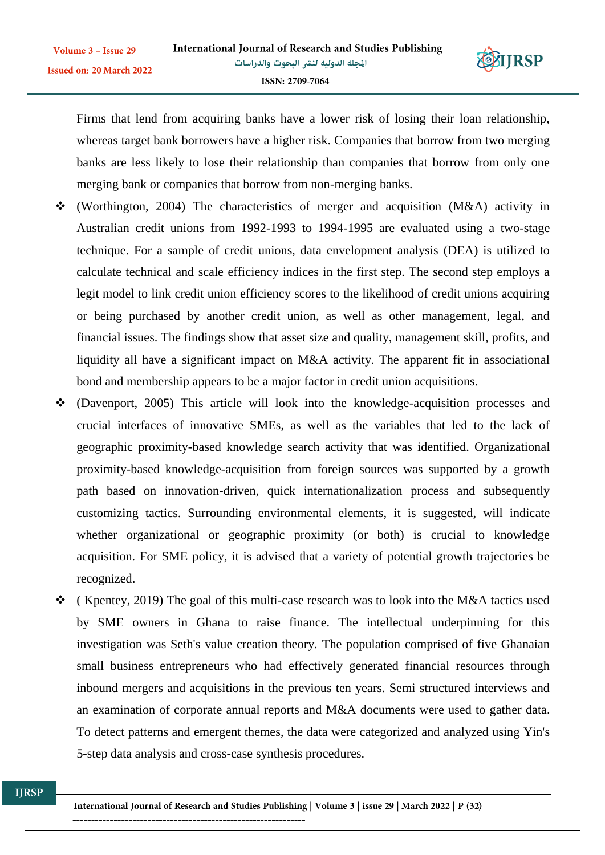

Firms that lend from acquiring banks have a lower risk of losing their loan relationship, whereas target bank borrowers have a higher risk. Companies that borrow from two merging banks are less likely to lose their relationship than companies that borrow from only one merging bank or companies that borrow from non-merging banks.

- $\div$  (Worthington, 2004) The characteristics of merger and acquisition (M&A) activity in Australian credit unions from 1992-1993 to 1994-1995 are evaluated using a two-stage technique. For a sample of credit unions, data envelopment analysis (DEA) is utilized to calculate technical and scale efficiency indices in the first step. The second step employs a legit model to link credit union efficiency scores to the likelihood of credit unions acquiring or being purchased by another credit union, as well as other management, legal, and financial issues. The findings show that asset size and quality, management skill, profits, and liquidity all have a significant impact on M&A activity. The apparent fit in associational bond and membership appears to be a major factor in credit union acquisitions.
- (Davenport, 2005) This article will look into the knowledge-acquisition processes and crucial interfaces of innovative SMEs, as well as the variables that led to the lack of geographic proximity-based knowledge search activity that was identified. Organizational proximity-based knowledge-acquisition from foreign sources was supported by a growth path based on innovation-driven, quick internationalization process and subsequently customizing tactics. Surrounding environmental elements, it is suggested, will indicate whether organizational or geographic proximity (or both) is crucial to knowledge acquisition. For SME policy, it is advised that a variety of potential growth trajectories be recognized.
- $\div$  (Kpentey, 2019) The goal of this multi-case research was to look into the M&A tactics used by SME owners in Ghana to raise finance. The intellectual underpinning for this investigation was Seth's value creation theory. The population comprised of five Ghanaian small business entrepreneurs who had effectively generated financial resources through inbound mergers and acquisitions in the previous ten years. Semi structured interviews and an examination of corporate annual reports and M&A documents were used to gather data. To detect patterns and emergent themes, the data were categorized and analyzed using Yin's 5-step data analysis and cross-case synthesis procedures.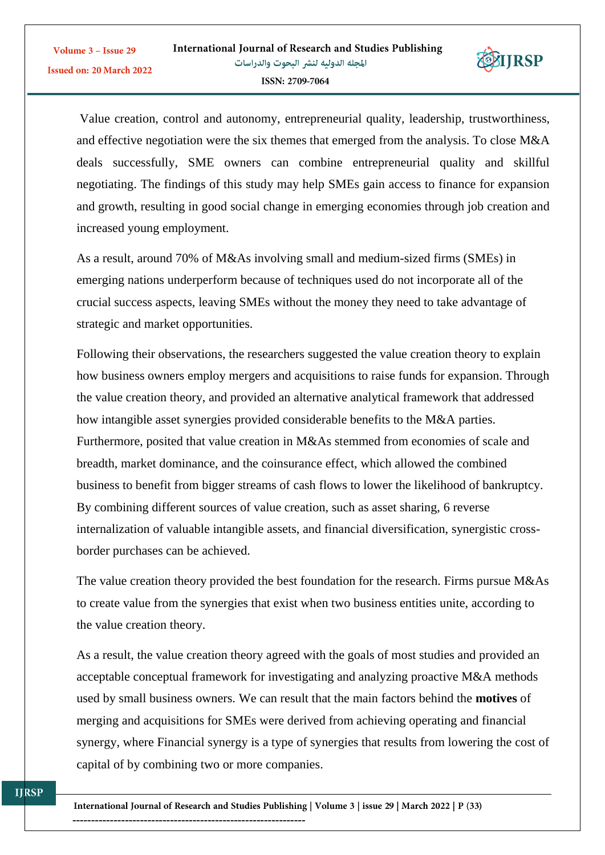

Value creation, control and autonomy, entrepreneurial quality, leadership, trustworthiness, and effective negotiation were the six themes that emerged from the analysis. To close M&A deals successfully, SME owners can combine entrepreneurial quality and skillful negotiating. The findings of this study may help SMEs gain access to finance for expansion and growth, resulting in good social change in emerging economies through job creation and increased young employment.

As a result, around 70% of M&As involving small and medium-sized firms (SMEs) in emerging nations underperform because of techniques used do not incorporate all of the crucial success aspects, leaving SMEs without the money they need to take advantage of strategic and market opportunities.

Following their observations, the researchers suggested the value creation theory to explain how business owners employ mergers and acquisitions to raise funds for expansion. Through the value creation theory, and provided an alternative analytical framework that addressed how intangible asset synergies provided considerable benefits to the M&A parties. Furthermore, posited that value creation in M&As stemmed from economies of scale and breadth, market dominance, and the coinsurance effect, which allowed the combined business to benefit from bigger streams of cash flows to lower the likelihood of bankruptcy. By combining different sources of value creation, such as asset sharing, 6 reverse internalization of valuable intangible assets, and financial diversification, synergistic crossborder purchases can be achieved.

The value creation theory provided the best foundation for the research. Firms pursue M&As to create value from the synergies that exist when two business entities unite, according to the value creation theory.

As a result, the value creation theory agreed with the goals of most studies and provided an acceptable conceptual framework for investigating and analyzing proactive M&A methods used by small business owners. We can result that the main factors behind the **motives** of merging and acquisitions for SMEs were derived from achieving operating and financial synergy, where [Financial synergy](https://www.investment-and-finance.net/investment-banking/f/financial-synergy.html) is a type of [synergies](https://www.investment-and-finance.net/investment-banking/s/synergies.html) that results from lowering the [cost of](https://www.investment-and-finance.net/investment-banking/c/cost-of-capital.html)  [capital](https://www.investment-and-finance.net/investment-banking/c/cost-of-capital.html) of by combining two or more companies.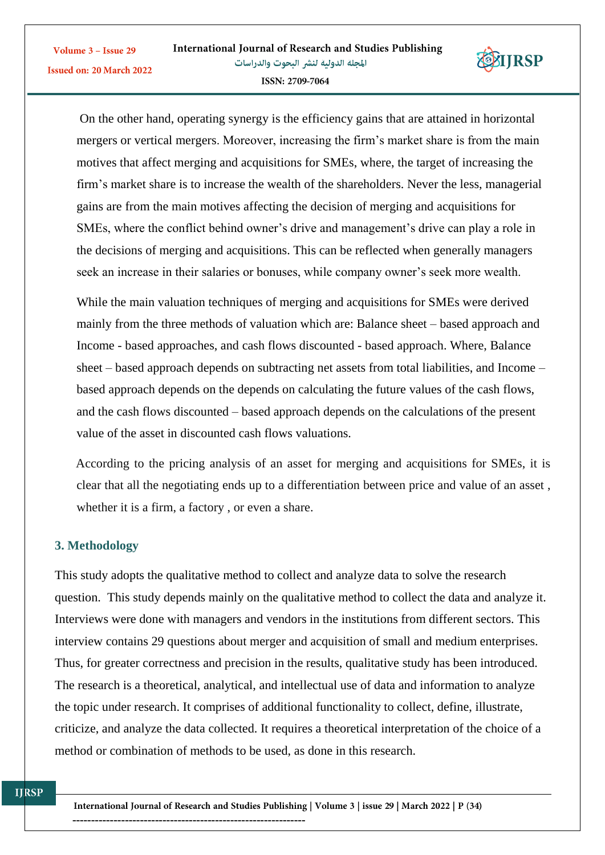

On the other hand, [operating synergy](https://www.investment-and-finance.net/investment-banking/o/operating-synergy.html) is the efficiency gains that are attained in [horizontal](https://www.investment-and-finance.net/investment-banking/h/horizontal-merger.html)  [mergers](https://www.investment-and-finance.net/investment-banking/h/horizontal-merger.html) or [vertical mergers.](https://www.investment-and-finance.net/investment-banking/v/vertical-merger.html) Moreover, increasing the firm's market share is from the main motives that affect merging and acquisitions for SMEs, where, the target of increasing the firm's market share is to increase the wealth of the shareholders. Never the less, managerial gains are from the main motives affecting the decision of merging and acquisitions for SMEs, where the conflict behind owner's drive and management's drive can play a role in the decisions of merging and acquisitions. This can be reflected when generally managers seek an increase in their salaries or bonuses, while company owner's seek more wealth.

While the main valuation techniques of merging and acquisitions for SMEs were derived mainly from the three methods of valuation which are: Balance sheet – based approach and Income - based approaches, and cash flows discounted - based approach. Where, Balance sheet – based approach depends on subtracting net assets from total liabilities, and Income – based approach depends on the depends on calculating the future values of the cash flows, and the cash flows discounted – based approach depends on the calculations of the present value of the asset in discounted cash flows valuations.

According to the pricing analysis of an asset for merging and acquisitions for SMEs, it is clear that all the negotiating ends up to a differentiation between price and value of an asset , whether it is a firm, a factory , or even a share.

## **3. Methodology**

Volume 3 - Issue 29

This study adopts the qualitative method to collect and analyze data to solve the research question.This study depends mainly on the qualitative method to collect the data and analyze it. Interviews were done with managers and vendors in the institutions from different sectors. This interview contains 29 questions about merger and acquisition of small and medium enterprises. Thus, for greater correctness and precision in the results, qualitative study has been introduced. The research is a theoretical, analytical, and intellectual use of data and information to analyze the topic under research. It comprises of additional functionality to collect, define, illustrate, criticize, and analyze the data collected. It requires a theoretical interpretation of the choice of a method or combination of methods to be used, as done in this research.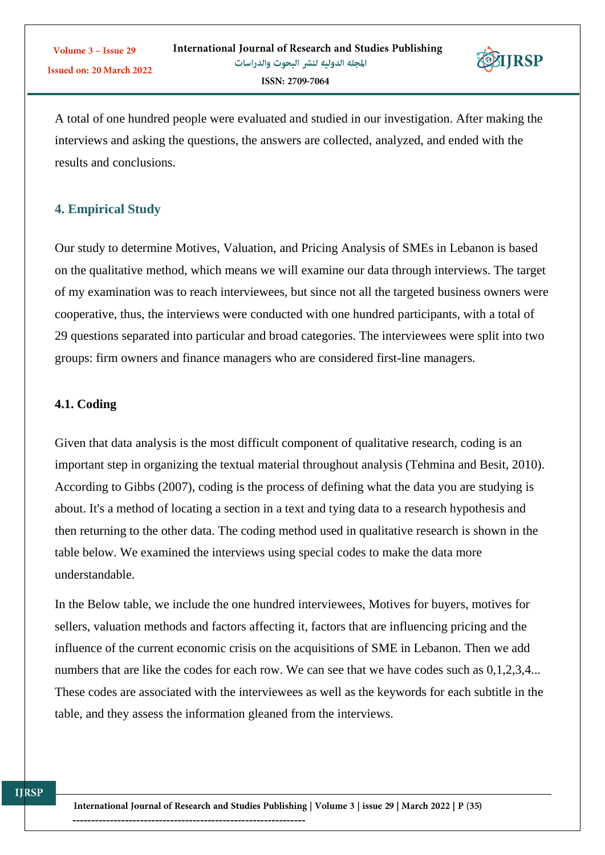

A total of one hundred people were evaluated and studied in our investigation. After making the interviews and asking the questions, the answers are collected, analyzed, and ended with the results and conclusions.

# **4. Empirical Study**

Our study to determine Motives, Valuation, and Pricing Analysis of SMEs in Lebanon is based on the qualitative method, which means we will examine our data through interviews. The target of my examination was to reach interviewees, but since not all the targeted business owners were cooperative, thus, the interviews were conducted with one hundred participants, with a total of 29 questions separated into particular and broad categories. The interviewees were split into two groups: firm owners and finance managers who are considered first-line managers.

#### **4.1. Coding**

Given that data analysis is the most difficult component of qualitative research, coding is an important step in organizing the textual material throughout analysis (Tehmina and Besit, 2010). According to Gibbs (2007), coding is the process of defining what the data you are studying is about. It's a method of locating a section in a text and tying data to a research hypothesis and then returning to the other data. The coding method used in qualitative research is shown in the table below. We examined the interviews using special codes to make the data more understandable.

In the Below table, we include the one hundred interviewees, Motives for buyers, motives for sellers, valuation methods and factors affecting it, factors that are influencing pricing and the influence of the current economic crisis on the acquisitions of SME in Lebanon. Then we add numbers that are like the codes for each row. We can see that we have codes such as  $0,1,2,3,4...$ These codes are associated with the interviewees as well as the keywords for each subtitle in the table, and they assess the information gleaned from the interviews.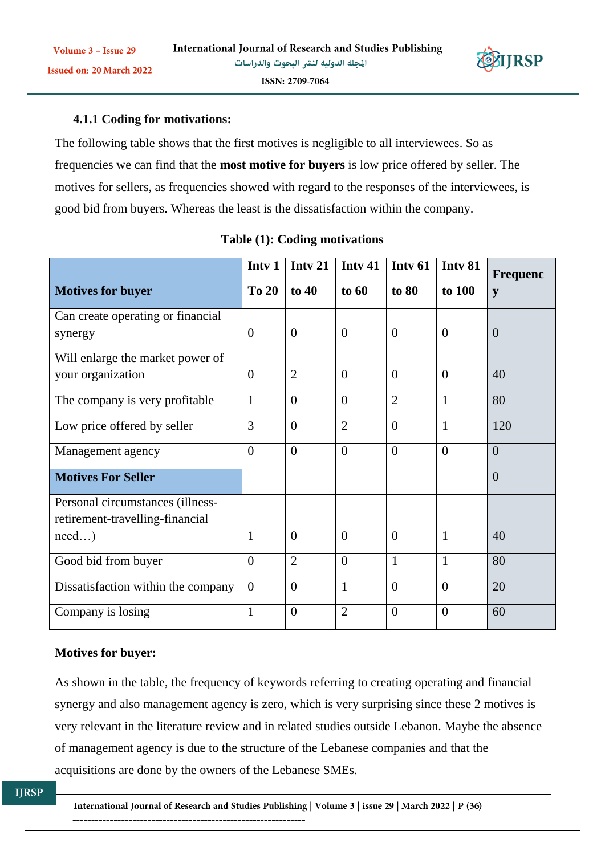

Issued on: 20 March 2022

**4.1.1 Coding for motivations:**

The following table shows that the first motives is negligible to all interviewees. So as frequencies we can find that the **most motive for buyers** is low price offered by seller. The motives for sellers, as frequencies showed with regard to the responses of the interviewees, is good bid from buyers. Whereas the least is the dissatisfaction within the company.

|                                    | Inty 1           | Intv 21        | Inty 41        | Inty 61        | Intv 81        | <b>Frequenc</b> |
|------------------------------------|------------------|----------------|----------------|----------------|----------------|-----------------|
| <b>Motives for buyer</b>           | <b>To 20</b>     | to $40$        | to 60          | to 80          | to 100         | y               |
| Can create operating or financial  |                  |                |                |                |                |                 |
| synergy                            | $\boldsymbol{0}$ | $\theta$       | $\theta$       | $\overline{0}$ | $\theta$       | $\overline{0}$  |
| Will enlarge the market power of   |                  |                |                |                |                |                 |
| your organization                  | $\overline{0}$   | $\overline{2}$ | $\theta$       | $\overline{0}$ | $\theta$       | 40              |
| The company is very profitable     | $\mathbf{1}$     | $\Omega$       | $\theta$       | $\overline{2}$ | $\mathbf{1}$   | 80              |
| Low price offered by seller        | 3                | $\theta$       | $\overline{2}$ | $\overline{0}$ | $\mathbf{1}$   | 120             |
| Management agency                  | $\theta$         | $\Omega$       | $\theta$       | $\theta$       | $\theta$       | $\theta$        |
| <b>Motives For Seller</b>          |                  |                |                |                |                | $\overline{0}$  |
| Personal circumstances (illness-   |                  |                |                |                |                |                 |
| retirement-travelling-financial    |                  |                |                |                |                |                 |
| $need$ )                           | 1                | $\theta$       | $\overline{0}$ | $\overline{0}$ | $\mathbf{1}$   | 40              |
| Good bid from buyer                | $\Omega$         | $\overline{2}$ | $\theta$       | $\mathbf{1}$   | $\mathbf{1}$   | 80              |
| Dissatisfaction within the company | $\overline{0}$   | $\theta$       | $\overline{1}$ | $\overline{0}$ | $\overline{0}$ | 20              |
| Company is losing                  | $\mathbf{1}$     | $\theta$       | $\overline{2}$ | $\theta$       | $\theta$       | 60              |

|  |  |  | Table (1): Coding motivations |
|--|--|--|-------------------------------|
|--|--|--|-------------------------------|

## **Motives for buyer:**

As shown in the table, the frequency of keywords referring to creating operating and financial synergy and also management agency is zero, which is very surprising since these 2 motives is very relevant in the literature review and in related studies outside Lebanon. Maybe the absence of management agency is due to the structure of the Lebanese companies and that the acquisitions are done by the owners of the Lebanese SMEs.

International Journal of Research and Studies Publishing | Volume 3 | issue 29 | March 2022 | P (36) --------------------------------------------------------------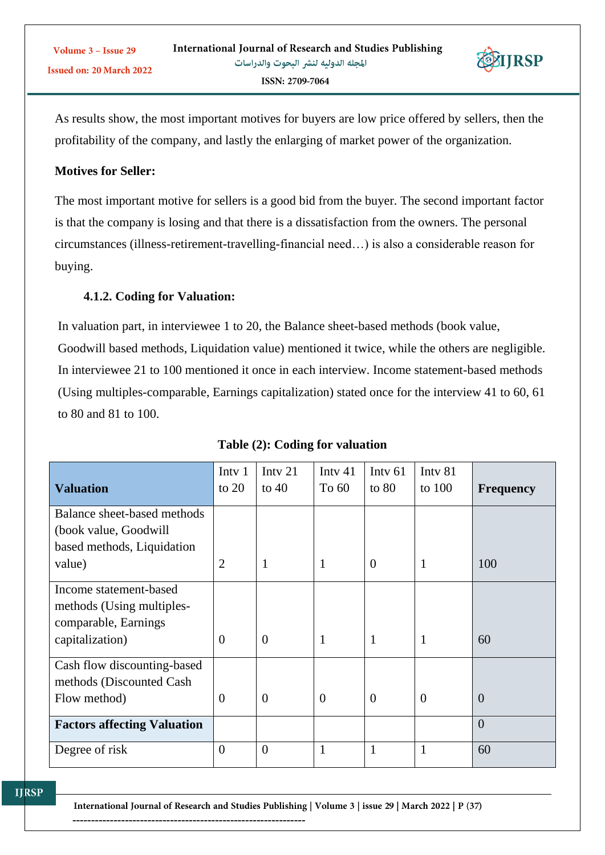As results show, the most important motives for buyers are low price offered by sellers, then the profitability of the company, and lastly the enlarging of market power of the organization.

**RIIRSP** 

# **Motives for Seller:**

The most important motive for sellers is a good bid from the buyer. The second important factor is that the company is losing and that there is a dissatisfaction from the owners. The personal circumstances (illness-retirement-travelling-financial need…) is also a considerable reason for buying.

## **4.1.2. Coding for Valuation:**

In valuation part, in interviewee 1 to 20, the Balance sheet-based methods (book value, Goodwill based methods, Liquidation value) mentioned it twice, while the others are negligible. In interviewee 21 to 100 mentioned it once in each interview. Income statement-based methods (Using multiples-comparable, Earnings capitalization) stated once for the interview 41 to 60, 61 to 80 and 81 to 100.

| <b>Valuation</b>                                                                               | Intv <sub>1</sub><br>to $20$ | Inty 21<br>to $40$ | Inty $41$<br>To 60 | Inty $61$<br>to $80$ | Inty 81<br>to $100$ | <b>Frequency</b> |
|------------------------------------------------------------------------------------------------|------------------------------|--------------------|--------------------|----------------------|---------------------|------------------|
| Balance sheet-based methods<br>(book value, Goodwill<br>based methods, Liquidation<br>value)   | $\overline{2}$               | $\mathbf 1$        | 1                  | $\overline{0}$       | 1                   | 100              |
| Income statement-based<br>methods (Using multiples-<br>comparable, Earnings<br>capitalization) | $\overline{0}$               | $\theta$           | $\mathbf{1}$       | $\mathbf{1}$         | 1                   | 60               |
| Cash flow discounting-based<br>methods (Discounted Cash<br>Flow method)                        | $\overline{0}$               | $\overline{0}$     | $\overline{0}$     | $\overline{0}$       | $\Omega$            | $\overline{0}$   |
| <b>Factors affecting Valuation</b>                                                             |                              |                    |                    |                      |                     | $\theta$         |
| Degree of risk                                                                                 | $\overline{0}$               | $\overline{0}$     | $\mathbf{1}$       | $\mathbf{1}$         | 1                   | 60               |

**Table (2): Coding for valuation**

International Journal of Research and Studies Publishing | Volume 3 | issue 29 | March 2022 | P (37)

--------------------------------------------------------------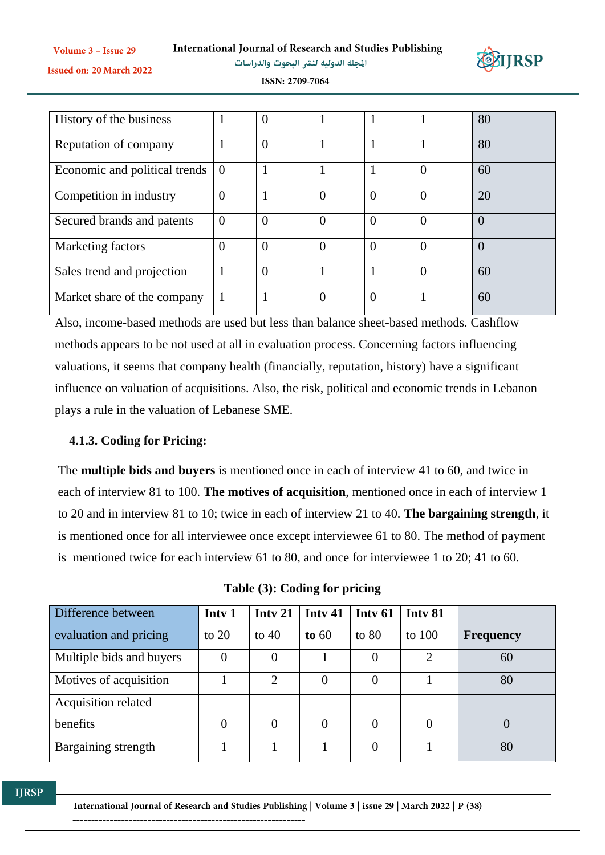**International Journal of Research and Studies Publishing** 



Volume 3 - Issue 29

المجلة الدولية لنشر البحوث والدراسات

Issued on: 20 March 2022

ISSN: 2709-7064

| History of the business       |                | $\theta$       |                |                |                | 80             |
|-------------------------------|----------------|----------------|----------------|----------------|----------------|----------------|
| Reputation of company         |                | $\overline{0}$ |                |                |                | 80             |
| Economic and political trends | $\overline{0}$ |                |                |                | $\overline{0}$ | 60             |
| Competition in industry       | $\theta$       |                | $\overline{0}$ | $\theta$       | $\theta$       | 20             |
| Secured brands and patents    | $\overline{0}$ | $\overline{0}$ | $\overline{0}$ | $\overline{0}$ | $\theta$       | $\overline{0}$ |
| Marketing factors             | 0              | $\Omega$       | $\theta$       | $\Omega$       | $\theta$       | $\theta$       |
| Sales trend and projection    | 1              | $\theta$       |                |                | $\Omega$       | 60             |
| Market share of the company   |                |                | $\overline{0}$ | $\Omega$       |                | 60             |

Also, income-based methods are used but less than balance sheet-based methods. Cashflow methods appears to be not used at all in evaluation process. Concerning factors influencing valuations, it seems that company health (financially, reputation, history) have a significant influence on valuation of acquisitions. Also, the risk, political and economic trends in Lebanon plays a rule in the valuation of Lebanese SME.

## **4.1.3. Coding for Pricing:**

The **multiple bids and buyers** is mentioned once in each of interview 41 to 60, and twice in each of interview 81 to 100. **The motives of acquisition**, mentioned once in each of interview 1 to 20 and in interview 81 to 10; twice in each of interview 21 to 40. **The bargaining strength**, it is mentioned once for all interviewee once except interviewee 61 to 80. The method of payment is mentioned twice for each interview 61 to 80, and once for interviewee 1 to 20; 41 to 60.

**Table (3): Coding for pricing**

| Difference between       | Inty 1         | Inty 21        | Inty 41        | Inty 61  | Inty 81               |                  |
|--------------------------|----------------|----------------|----------------|----------|-----------------------|------------------|
| evaluation and pricing   | to $20$        | to $40$        | to $60$        | to $80$  | to $100$              | <b>Frequency</b> |
| Multiple bids and buyers | 0              | 0              |                | $\Omega$ | $\mathcal{D}_{\cdot}$ | 60               |
| Motives of acquisition   |                | 2              | $\overline{0}$ | $\theta$ |                       | 80               |
| Acquisition related      |                |                |                |          |                       |                  |
| benefits                 | $\overline{0}$ | $\overline{0}$ | $\overline{0}$ | $\Omega$ | 0                     | 0                |
| Bargaining strength      |                |                |                |          |                       | 80               |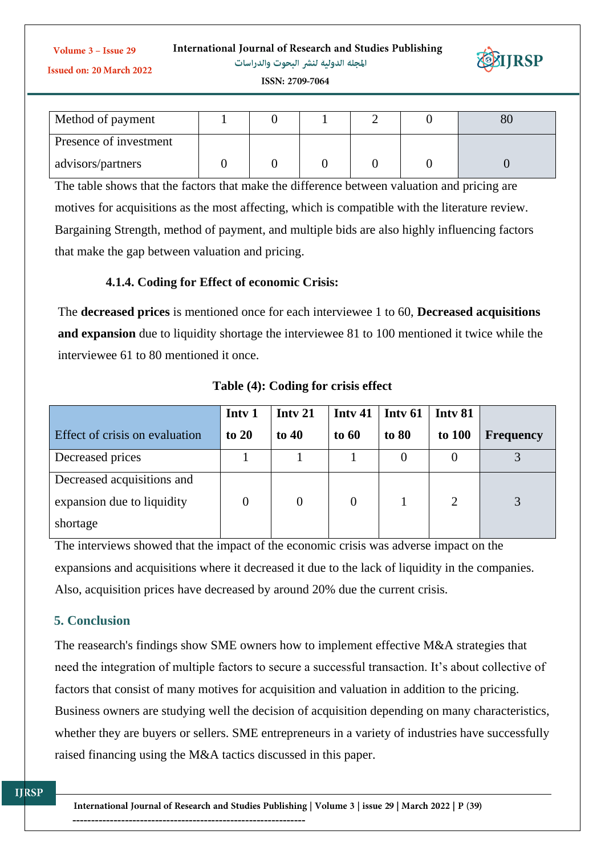| International Journal of Research and Studies Publishing |  |
|----------------------------------------------------------|--|
|----------------------------------------------------------|--|

Volume 3 - Issue 29 Issued on: 20 March 2022

المجلة الدولية لنشر البحوث والدراسات



ISSN: 2709-7064

| Method of payment      |  |  |  |
|------------------------|--|--|--|
| Presence of investment |  |  |  |
| advisors/partners      |  |  |  |

The table shows that the factors that make the difference between valuation and pricing are motives for acquisitions as the most affecting, which is compatible with the literature review. Bargaining Strength, method of payment, and multiple bids are also highly influencing factors that make the gap between valuation and pricing.

# **4.1.4. Coding for Effect of economic Crisis:**

The **decreased prices** is mentioned once for each interviewee 1 to 60, **Decreased acquisitions and expansion** due to liquidity shortage the interviewee 81 to 100 mentioned it twice while the interviewee 61 to 80 mentioned it once.

|                                       | Inty 1 | Inty 21        | Inty 41        | Inty 61 | Inty 81 |                  |
|---------------------------------------|--------|----------------|----------------|---------|---------|------------------|
| <b>Effect of crisis on evaluation</b> | to 20  | to $40$        | to 60          | to 80   | to 100  | <b>Frequency</b> |
| Decreased prices                      |        |                |                | 0       |         |                  |
| Decreased acquisitions and            |        |                |                |         |         |                  |
| expansion due to liquidity            |        | $\overline{0}$ | $\overline{0}$ |         | 2       | 3                |
| shortage                              |        |                |                |         |         |                  |

**Table (4): Coding for crisis effect**

The interviews showed that the impact of the economic crisis was adverse impact on the expansions and acquisitions where it decreased it due to the lack of liquidity in the companies. Also, acquisition prices have decreased by around 20% due the current crisis.

# **5. Conclusion**

The reasearch's findings show SME owners how to implement effective M&A strategies that need the integration of multiple factors to secure a successful transaction. It's about collective of factors that consist of many motives for acquisition and valuation in addition to the pricing. Business owners are studying well the decision of acquisition depending on many characteristics, whether they are buyers or sellers. SME entrepreneurs in a variety of industries have successfully raised financing using the M&A tactics discussed in this paper.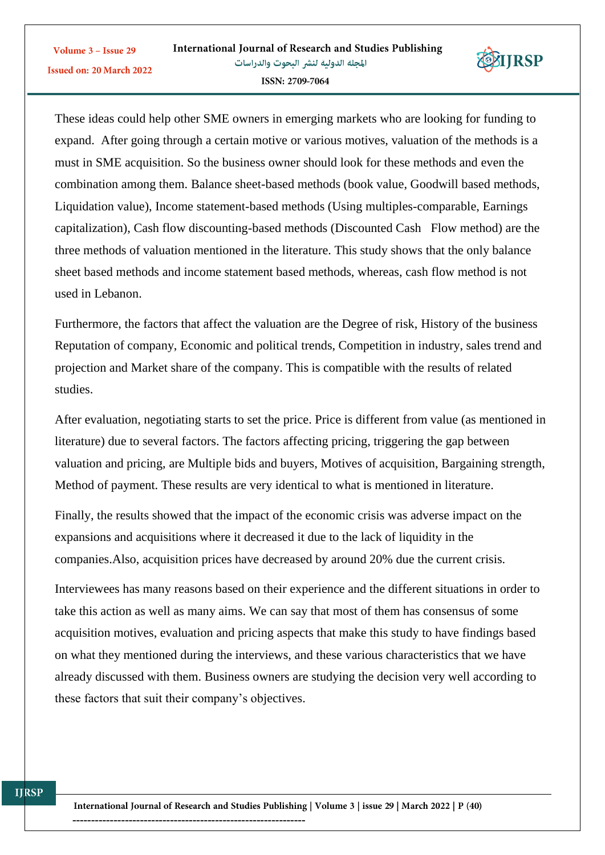

These ideas could help other SME owners in emerging markets who are looking for funding to expand. After going through a certain motive or various motives, valuation of the methods is a must in SME acquisition. So the business owner should look for these methods and even the combination among them. Balance sheet-based methods (book value, Goodwill based methods, Liquidation value), Income statement-based methods (Using multiples-comparable, Earnings capitalization), Cash flow discounting-based methods (Discounted Cash Flow method) are the three methods of valuation mentioned in the literature. This study shows that the only balance sheet based methods and income statement based methods, whereas, cash flow method is not used in Lebanon.

Furthermore, the factors that affect the valuation are the Degree of risk, History of the business Reputation of company, Economic and political trends, Competition in industry, sales trend and projection and Market share of the company. This is compatible with the results of related studies.

After evaluation, negotiating starts to set the price. Price is different from value (as mentioned in literature) due to several factors. The factors affecting pricing, triggering the gap between valuation and pricing, are Multiple bids and buyers, Motives of acquisition, Bargaining strength, Method of payment. These results are very identical to what is mentioned in literature.

Finally, the results showed that the impact of the economic crisis was adverse impact on the expansions and acquisitions where it decreased it due to the lack of liquidity in the companies.Also, acquisition prices have decreased by around 20% due the current crisis.

Interviewees has many reasons based on their experience and the different situations in order to take this action as well as many aims. We can say that most of them has consensus of some acquisition motives, evaluation and pricing aspects that make this study to have findings based on what they mentioned during the interviews, and these various characteristics that we have already discussed with them. Business owners are studying the decision very well according to these factors that suit their company's objectives.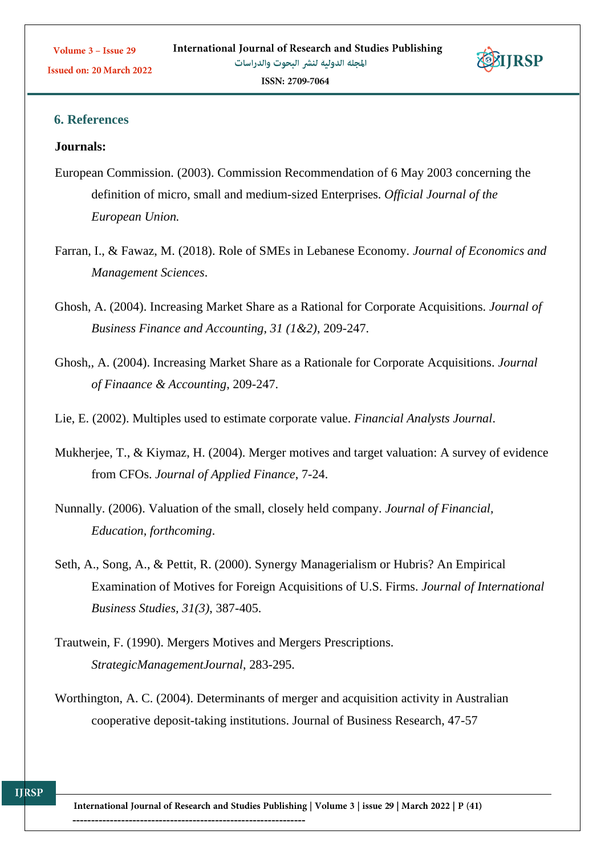

Issued on: 20 March 2022

#### **Journals:**

- European Commission. (2003). Commission Recommendation of 6 May 2003 concerning the definition of micro, small and medium-sized Enterprises. *Official Journal of the European Union.*
- Farran, I., & Fawaz, M. (2018). Role of SMEs in Lebanese Economy. *Journal of Economics and Management Sciences*.
- Ghosh, A. (2004). Increasing Market Share as a Rational for Corporate Acquisitions. *Journal of Business Finance and Accounting, 31 (1&2)*, 209-247.
- Ghosh,, A. (2004). Increasing Market Share as a Rationale for Corporate Acquisitions. *Journal of Finaance & Accounting*, 209-247.
- Lie, E. (2002). Multiples used to estimate corporate value. *Financial Analysts Journal*.
- Mukherjee, T., & Kiymaz, H. (2004). Merger motives and target valuation: A survey of evidence from CFOs. *Journal of Applied Finance*, 7-24.
- Nunnally. (2006). Valuation of the small, closely held company. *Journal of Financial, Education, forthcoming*.
- Seth, A., Song, A., & Pettit, R. (2000). Synergy Managerialism or Hubris? An Empirical Examination of Motives for Foreign Acquisitions of U.S. Firms. *Journal of International Business Studies, 31(3)*, 387-405.
- Trautwein, F. (1990). Mergers Motives and Mergers Prescriptions. *StrategicManagementJournal*, 283-295.
- Worthington, A. C. (2004). Determinants of merger and acquisition activity in Australian cooperative deposit-taking institutions. Journal of Business Research, 47-57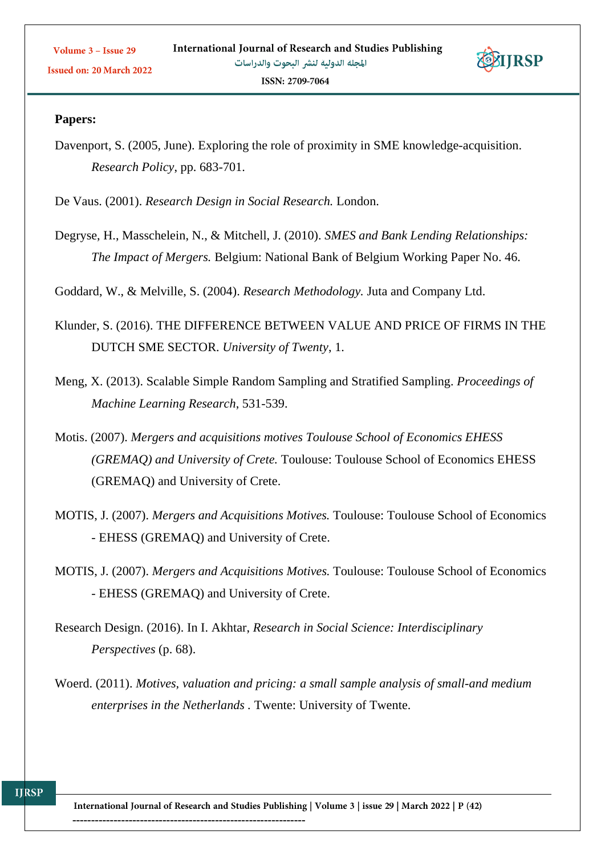

Davenport, S. (2005, June). Exploring the role of proximity in SME knowledge-acquisition. *Research Policy*, pp. 683-701.

De Vaus. (2001). *Research Design in Social Research.* London.

Degryse, H., Masschelein, N., & Mitchell, J. (2010). *SMES and Bank Lending Relationships: The Impact of Mergers.* Belgium: National Bank of Belgium Working Paper No. 46.

Goddard, W., & Melville, S. (2004). *Research Methodology.* Juta and Company Ltd.

- Klunder, S. (2016). THE DIFFERENCE BETWEEN VALUE AND PRICE OF FIRMS IN THE DUTCH SME SECTOR. *University of Twenty*, 1.
- Meng, X. (2013). Scalable Simple Random Sampling and Stratified Sampling. *Proceedings of Machine Learning Research*, 531-539.
- Motis. (2007). *Mergers and acquisitions motives Toulouse School of Economics EHESS (GREMAQ) and University of Crete.* Toulouse: Toulouse School of Economics EHESS (GREMAQ) and University of Crete.
- MOTIS, J. (2007). *Mergers and Acquisitions Motives.* Toulouse: Toulouse School of Economics - EHESS (GREMAQ) and University of Crete.
- MOTIS, J. (2007). *Mergers and Acquisitions Motives.* Toulouse: Toulouse School of Economics - EHESS (GREMAQ) and University of Crete.
- Research Design. (2016). In I. Akhtar, *Research in Social Science: Interdisciplinary Perspectives* (p. 68).
- Woerd. (2011). *Motives, valuation and pricing: a small sample analysis of small-and medium enterprises in the Netherlands .* Twente: University of Twente.